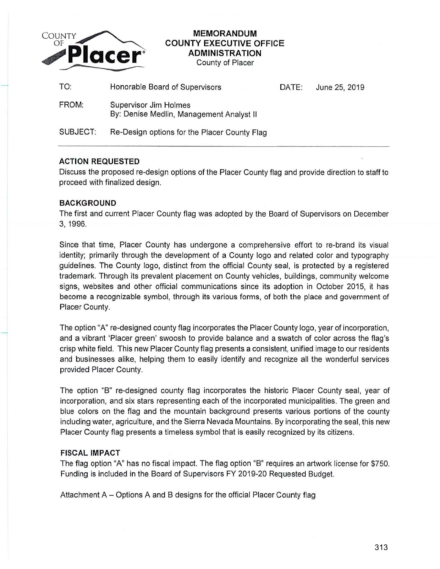

# **MEMORANDUM COUNTY EXECUTIVE OFFICE ADMINISTRATION**

County of Placer

| TO:             | Honorable Board of Supervisors                                           | DATE: | June 25, 2019 |
|-----------------|--------------------------------------------------------------------------|-------|---------------|
| FROM:           | <b>Supervisor Jim Holmes</b><br>By: Denise Medlin, Management Analyst II |       |               |
| <b>SUBJECT:</b> | Re-Design options for the Placer County Flag                             |       |               |

### **ACTION REQUESTED**

Discuss the proposed re-design options of the Placer County flag and provide direction to staff to proceed with finalized design.

### **BACKGROUND**

The first and current Placer County flag was adopted by the Board of Supervisors on December 3, 1996.

Since that time, Placer County has undergone a comprehensive effort to re-brand its visual identity; primarily through the development of a County logo and related color and typography guidelines. The County logo, distinct from the official County seal, is protected by a registered trademark. Through its prevalent placement on County vehicles, buildings, community welcome signs, websites and other official communications since its adoption in October 2015, it has become a recognizable symbol, through its various forms, of both the place and government of Placer County.

The option "A" re-designed county flag incorporates the Placer County logo, year of incorporation, and a vibrant 'Placer green' swoosh to provide balance and a swatch of color across the flag's crisp white field. This new Placer County flag presents a consistent, unified image to our residents and businesses alike, helping them to easily identify and recognize all the wonderful services provided Placer County.

The option "B" re-designed county flag incorporates the historic Placer County seal, year of incorporation, and six stars representing each of the incorporated municipalities. The green and blue colors on the flag and the mountain background presents various portions of the county including water, agriculture, and the Sierra Nevada Mountains. By incorporating the seal, this new Placer County flag presents a timeless symbol that is easily recognized by its citizens.

### **FISCAL IMPACT**

The flag option "A" has no fiscal impact. The flag option "B" requires an artwork license for \$750. Funding is included in the Board of Supervisors FY 2019-20 Requested Budget.

Attachment A- Options A and B designs for the official Placer County flag